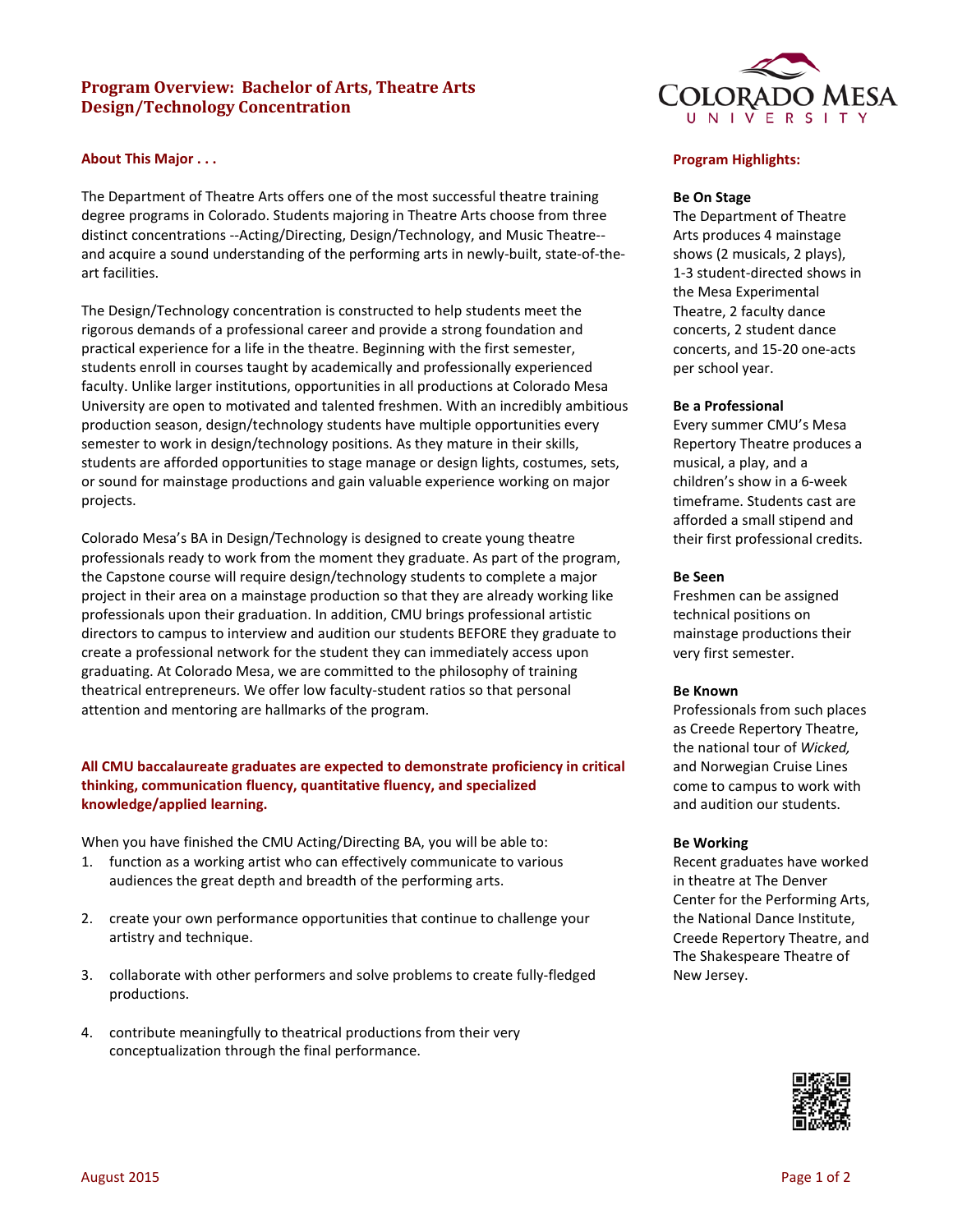# **Program Overview: Bachelor of Arts, Theatre Arts Design/Technology Concentration**

# **About This Major . . .**

The Department of Theatre Arts offers one of the most successful theatre training degree programs in Colorado. Students majoring in Theatre Arts choose from three distinct concentrations --Acting/Directing, Design/Technology, and Music Theatre- and acquire a sound understanding of the performing arts in newly-built, state-of-theart facilities.

The Design/Technology concentration is constructed to help students meet the rigorous demands of a professional career and provide a strong foundation and practical experience for a life in the theatre. Beginning with the first semester, students enroll in courses taught by academically and professionally experienced faculty. Unlike larger institutions, opportunities in all productions at Colorado Mesa University are open to motivated and talented freshmen. With an incredibly ambitious production season, design/technology students have multiple opportunities every semester to work in design/technology positions. As they mature in their skills, students are afforded opportunities to stage manage or design lights, costumes, sets, or sound for mainstage productions and gain valuable experience working on major projects.

Colorado Mesa's BA in Design/Technology is designed to create young theatre professionals ready to work from the moment they graduate. As part of the program, the Capstone course will require design/technology students to complete a major project in their area on a mainstage production so that they are already working like professionals upon their graduation. In addition, CMU brings professional artistic directors to campus to interview and audition our students BEFORE they graduate to create a professional network for the student they can immediately access upon graduating. At Colorado Mesa, we are committed to the philosophy of training theatrical entrepreneurs. We offer low faculty-student ratios so that personal attention and mentoring are hallmarks of the program.

# **All CMU baccalaureate graduates are expected to demonstrate proficiency in critical thinking, communication fluency, quantitative fluency, and specialized knowledge/applied learning.**

When you have finished the CMU Acting/Directing BA, you will be able to:

- 1. function as a working artist who can effectively communicate to various audiences the great depth and breadth of the performing arts.
- 2. create your own performance opportunities that continue to challenge your artistry and technique.
- 3. collaborate with other performers and solve problems to create fully-fledged productions.
- 4. contribute meaningfully to theatrical productions from their very conceptualization through the final performance.



# **Program Highlights:**

### **Be On Stage**

The Department of Theatre Arts produces 4 mainstage shows (2 musicals, 2 plays), 1-3 student-directed shows in the Mesa Experimental Theatre, 2 faculty dance concerts, 2 student dance concerts, and 15-20 one-acts per school year.

### **Be a Professional**

Every summer CMU's Mesa Repertory Theatre produces a musical, a play, and a children's show in a 6-week timeframe. Students cast are afforded a small stipend and their first professional credits.

### **Be Seen**

Freshmen can be assigned technical positions on mainstage productions their very first semester.

#### **Be Known**

Professionals from such places as Creede Repertory Theatre, the national tour of *Wicked,*  and Norwegian Cruise Lines come to campus to work with and audition our students.

#### **Be Working**

Recent graduates have worked in theatre at The Denver Center for the Performing Arts, the National Dance Institute, Creede Repertory Theatre, and The Shakespeare Theatre of New Jersey.